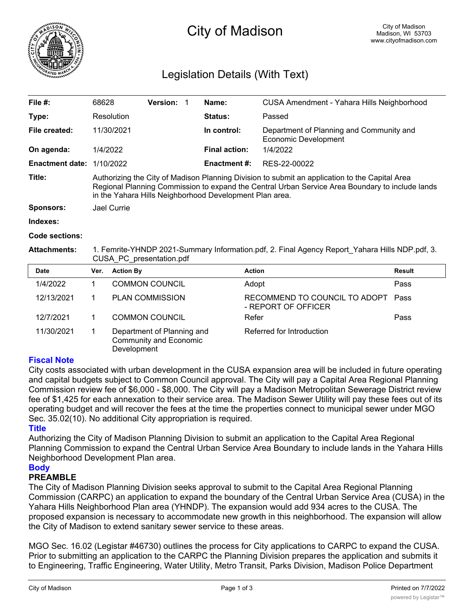

# City of Madison

## Legislation Details (With Text)

| File $#$ :             | 68628                                                                                                                                                                                                                                                        | <b>Version:</b> |  | Name:                | CUSA Amendment - Yahara Hills Neighborhood                       |  |
|------------------------|--------------------------------------------------------------------------------------------------------------------------------------------------------------------------------------------------------------------------------------------------------------|-----------------|--|----------------------|------------------------------------------------------------------|--|
| Type:                  | Resolution                                                                                                                                                                                                                                                   |                 |  | <b>Status:</b>       | Passed                                                           |  |
| File created:          | 11/30/2021                                                                                                                                                                                                                                                   |                 |  | In control:          | Department of Planning and Community and<br>Economic Development |  |
| On agenda:             | 1/4/2022                                                                                                                                                                                                                                                     |                 |  | <b>Final action:</b> | 1/4/2022                                                         |  |
| <b>Enactment date:</b> | 1/10/2022                                                                                                                                                                                                                                                    |                 |  | Enactment #:         | RES-22-00022                                                     |  |
| Title:                 | Authorizing the City of Madison Planning Division to submit an application to the Capital Area<br>Regional Planning Commission to expand the Central Urban Service Area Boundary to include lands<br>in the Yahara Hills Neighborhood Development Plan area. |                 |  |                      |                                                                  |  |
| <b>Sponsors:</b>       | Jael Currie                                                                                                                                                                                                                                                  |                 |  |                      |                                                                  |  |
| Indexes:               |                                                                                                                                                                                                                                                              |                 |  |                      |                                                                  |  |
| <b>Code sections:</b>  |                                                                                                                                                                                                                                                              |                 |  |                      |                                                                  |  |
| <b>Attachments:</b>    | 1. Femrite-YHNDP 2021-Summary Information.pdf, 2. Final Agency Report Yahara Hills NDP.pdf, 3.                                                                                                                                                               |                 |  |                      |                                                                  |  |

CUSA\_PC\_presentation.pdf

| <b>Date</b> | Ver. | <b>Action By</b>                                                           | <b>Action</b>                                             | <b>Result</b> |
|-------------|------|----------------------------------------------------------------------------|-----------------------------------------------------------|---------------|
| 1/4/2022    |      | <b>COMMON COUNCIL</b>                                                      | Adopt                                                     | Pass          |
| 12/13/2021  |      | <b>PLAN COMMISSION</b>                                                     | RECOMMEND TO COUNCIL TO ADOPT Pass<br>- REPORT OF OFFICER |               |
| 12/7/2021   |      | <b>COMMON COUNCIL</b>                                                      | Refer                                                     | Pass          |
| 11/30/2021  |      | Department of Planning and<br><b>Community and Economic</b><br>Development | Referred for Introduction                                 |               |

#### **Fiscal Note**

City costs associated with urban development in the CUSA expansion area will be included in future operating and capital budgets subject to Common Council approval. The City will pay a Capital Area Regional Planning Commission review fee of \$6,000 - \$8,000. The City will pay a Madison Metropolitan Sewerage District review fee of \$1,425 for each annexation to their service area. The Madison Sewer Utility will pay these fees out of its operating budget and will recover the fees at the time the properties connect to municipal sewer under MGO Sec. 35.02(10). No additional City appropriation is required.

#### **Title**

Authorizing the City of Madison Planning Division to submit an application to the Capital Area Regional Planning Commission to expand the Central Urban Service Area Boundary to include lands in the Yahara Hills Neighborhood Development Plan area.

#### **Body**

### **PREAMBLE**

The City of Madison Planning Division seeks approval to submit to the Capital Area Regional Planning Commission (CARPC) an application to expand the boundary of the Central Urban Service Area (CUSA) in the Yahara Hills Neighborhood Plan area (YHNDP). The expansion would add 934 acres to the CUSA. The proposed expansion is necessary to accommodate new growth in this neighborhood. The expansion will allow the City of Madison to extend sanitary sewer service to these areas.

MGO Sec. 16.02 (Legistar #46730) outlines the process for City applications to CARPC to expand the CUSA. Prior to submitting an application to the CARPC the Planning Division prepares the application and submits it to Engineering, Traffic Engineering, Water Utility, Metro Transit, Parks Division, Madison Police Department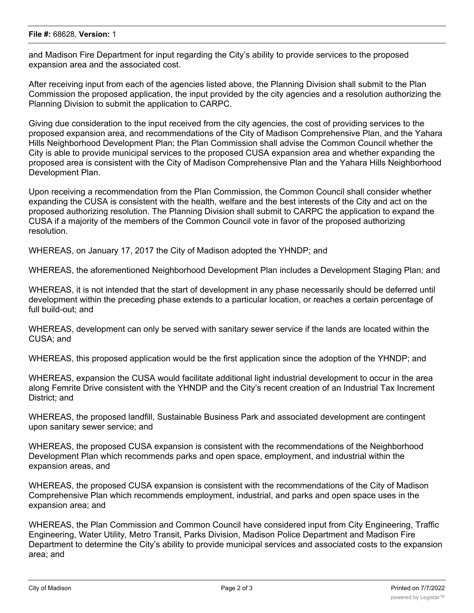and Madison Fire Department for input regarding the City's ability to provide services to the proposed expansion area and the associated cost.

After receiving input from each of the agencies listed above, the Planning Division shall submit to the Plan Commission the proposed application, the input provided by the city agencies and a resolution authorizing the Planning Division to submit the application to CARPC.

Giving due consideration to the input received from the city agencies, the cost of providing services to the proposed expansion area, and recommendations of the City of Madison Comprehensive Plan, and the Yahara Hills Neighborhood Development Plan; the Plan Commission shall advise the Common Council whether the City is able to provide municipal services to the proposed CUSA expansion area and whether expanding the proposed area is consistent with the City of Madison Comprehensive Plan and the Yahara Hills Neighborhood Development Plan.

Upon receiving a recommendation from the Plan Commission, the Common Council shall consider whether expanding the CUSA is consistent with the health, welfare and the best interests of the City and act on the proposed authorizing resolution. The Planning Division shall submit to CARPC the application to expand the CUSA if a majority of the members of the Common Council vote in favor of the proposed authorizing resolution.

WHEREAS, on January 17, 2017 the City of Madison adopted the YHNDP; and

WHEREAS, the aforementioned Neighborhood Development Plan includes a Development Staging Plan; and

WHEREAS, it is not intended that the start of development in any phase necessarily should be deferred until development within the preceding phase extends to a particular location, or reaches a certain percentage of full build-out; and

WHEREAS, development can only be served with sanitary sewer service if the lands are located within the CUSA; and

WHEREAS, this proposed application would be the first application since the adoption of the YHNDP; and

WHEREAS, expansion the CUSA would facilitate additional light industrial development to occur in the area along Femrite Drive consistent with the YHNDP and the City's recent creation of an Industrial Tax Increment District; and

WHEREAS, the proposed landfill, Sustainable Business Park and associated development are contingent upon sanitary sewer service; and

WHEREAS, the proposed CUSA expansion is consistent with the recommendations of the Neighborhood Development Plan which recommends parks and open space, employment, and industrial within the expansion areas, and

WHEREAS, the proposed CUSA expansion is consistent with the recommendations of the City of Madison Comprehensive Plan which recommends employment, industrial, and parks and open space uses in the expansion area; and

WHEREAS, the Plan Commission and Common Council have considered input from City Engineering, Traffic Engineering, Water Utility, Metro Transit, Parks Division, Madison Police Department and Madison Fire Department to determine the City's ability to provide municipal services and associated costs to the expansion area; and